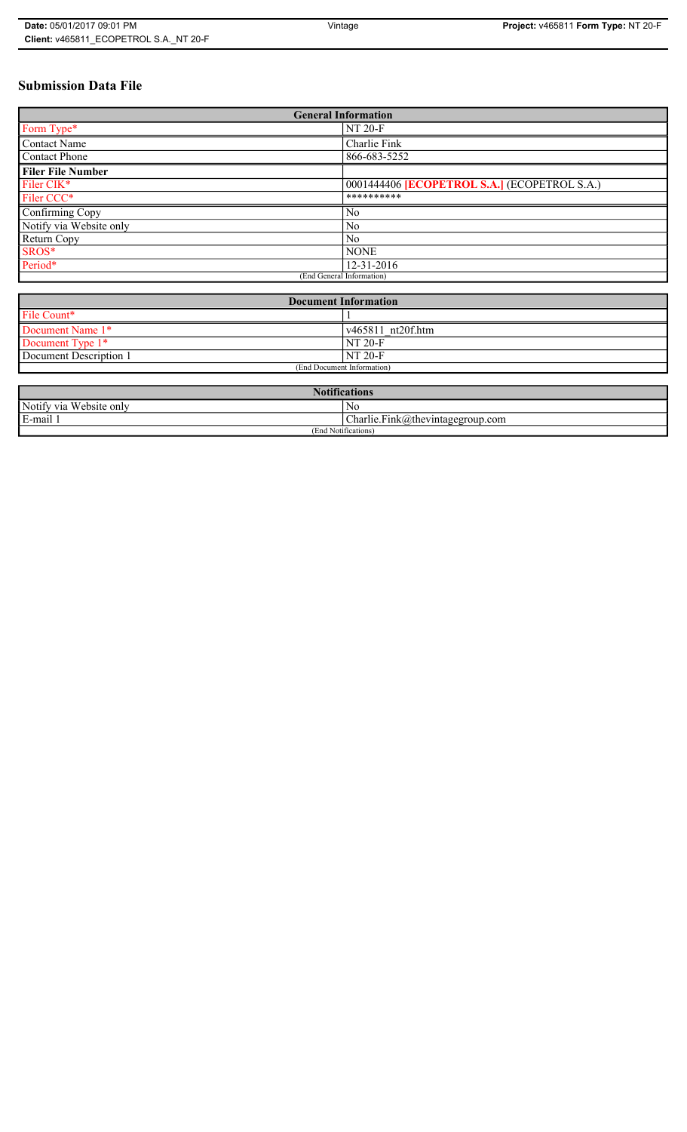# **Submission Data File**

| <b>General Information</b> |                                                     |  |
|----------------------------|-----------------------------------------------------|--|
| Form Type*                 | <b>NT 20-F</b>                                      |  |
| <b>Contact Name</b>        | Charlie Fink                                        |  |
| <b>Contact Phone</b>       | 866-683-5252                                        |  |
| <b>Filer File Number</b>   |                                                     |  |
| Filer CIK*                 | 0001444406 <b>[ECOPETROL S.A.]</b> (ECOPETROL S.A.) |  |
| Filer CCC*                 | **********                                          |  |
| Confirming Copy            | N <sub>0</sub>                                      |  |
| Notify via Website only    | N <sub>0</sub>                                      |  |
| Return Copy                | No                                                  |  |
| SROS*                      | <b>NONE</b>                                         |  |
| Period*                    | 12-31-2016                                          |  |
|                            | (End General Information)                           |  |

| <b>Document Information</b> |                           |  |
|-----------------------------|---------------------------|--|
| File Count*                 |                           |  |
| Document Name 1*            | $\sqrt{465811}$ nt20f.htm |  |
| Document Type 1*            | <b>NT 20-F</b>            |  |
| Document Description 1      | NT 20-F                   |  |
| (End Document Information)  |                           |  |

| <b>Notifications</b>    |                                            |  |
|-------------------------|--------------------------------------------|--|
| Notify via Website only | N0                                         |  |
| E-mail                  | Charlie.Fink@thevintagegroup.com<br>$\sim$ |  |
| (End Notifications)     |                                            |  |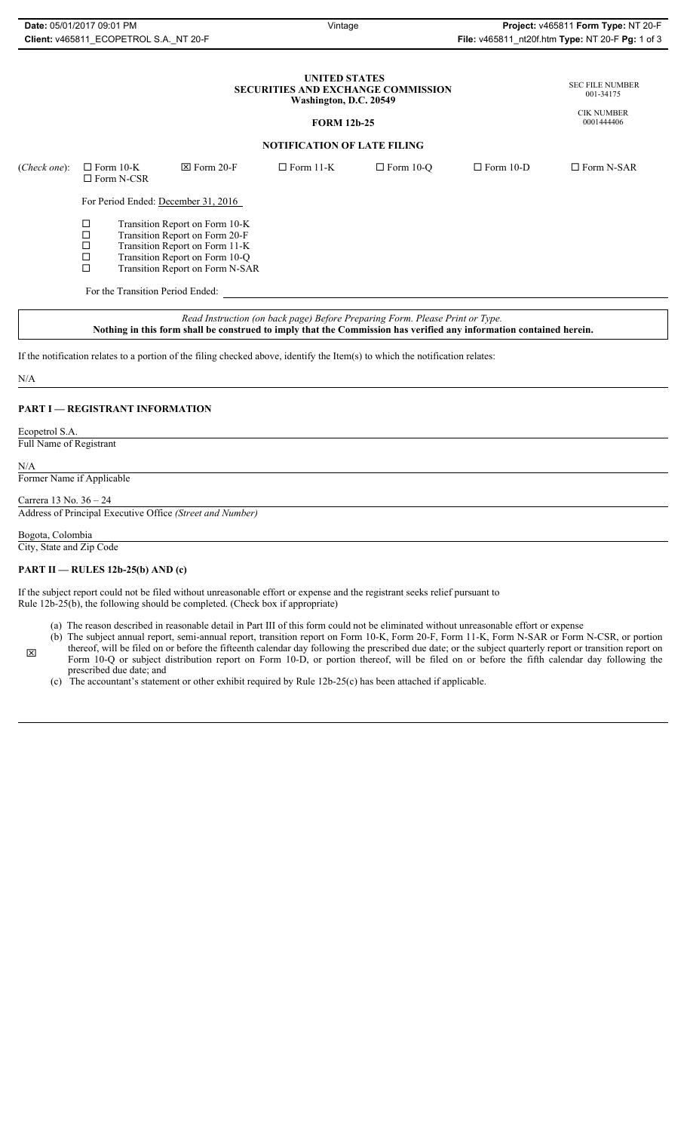| Date: 05/01/2017 09:01 PM              |  |
|----------------------------------------|--|
| Client: v465811 ECOPETROL S.A. NT 20-F |  |

### **UNITED STATES SECURITIES AND EXCHANGE COMMISSION Washington, D.C. 20549**

### **FORM 12b-25**

#### SEC FILE NUMBER 001-34175

CIK NUMBER 0001444406

# **NOTIFICATION OF LATE FILING**

| ( <i>Check one</i> ): | $\Box$ Form 10-K<br>$\Box$ Form N-CSR                                                                                                                                                                      |                                  | $\boxtimes$ Form 20-F               | $\Box$ Form 11-K | $\Box$ Form 10-O | $\Box$ Form 10-D | $\Box$ Form N-SAR |
|-----------------------|------------------------------------------------------------------------------------------------------------------------------------------------------------------------------------------------------------|----------------------------------|-------------------------------------|------------------|------------------|------------------|-------------------|
|                       |                                                                                                                                                                                                            |                                  | For Period Ended: December 31, 2016 |                  |                  |                  |                   |
|                       | □<br>Transition Report on Form 10-K<br>Transition Report on Form 20-F<br>□<br>□<br>Transition Report on Form 11-K<br>Transition Report on Form 10-Q<br>$\Box$<br>$\Box$<br>Transition Report on Form N-SAR |                                  |                                     |                  |                  |                  |                   |
|                       |                                                                                                                                                                                                            | For the Transition Period Ended: |                                     |                  |                  |                  |                   |
|                       |                                                                                                                                                                                                            |                                  |                                     |                  |                  |                  |                   |

*Read Instruction (on back page) Before Preparing Form. Please Print or Type.* **Nothing in this form shall be construed to imply that the Commission has verified any information contained herein.**

If the notification relates to a portion of the filing checked above, identify the Item(s) to which the notification relates:

#### N/A

### **PART I — REGISTRANT INFORMATION**

Ecopetrol S.A.

Full Name of Registrant

N/A

 $\boxtimes$ 

# Former Name if Applicable

Carrera 13 No. 36 – 24

Address of Principal Executive Office *(Street and Number)*

## Bogota, Colombia

City, State and Zip Code

### **PART II — RULES 12b-25(b) AND (c)**

If the subject report could not be filed without unreasonable effort or expense and the registrant seeks relief pursuant to Rule 12b-25(b), the following should be completed. (Check box if appropriate)

- (a) The reason described in reasonable detail in Part III of this form could not be eliminated without unreasonable effort or expense
- (b) The subject annual report, semi-annual report, transition report on Form 10-K, Form 20-F, Form 11-K, Form N-SAR or Form N-CSR, or portion thereof, will be filed on or before the fifteenth calendar day following the prescribed due date; or the subject quarterly report or transition report on Form 10-Q or subject distribution report on Form 10-D, or portion thereof, will be filed on or before the fifth calendar day following the prescribed due date; and
- (c) The accountant's statement or other exhibit required by Rule 12b-25(c) has been attached if applicable.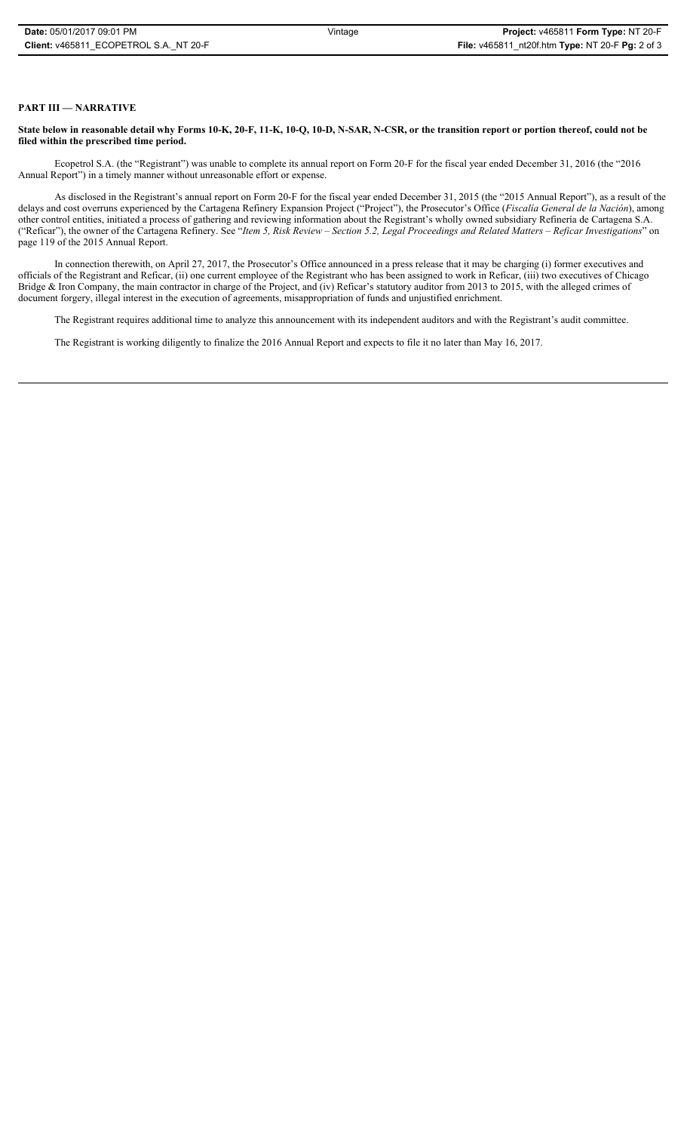## **PART III — NARRATIVE**

**State below in reasonable detail why Forms 10-K, 20-F, 11-K, 10-Q, 10-D, N-SAR, N-CSR, or the transition report or portion thereof, could not be filed within the prescribed time period.**

Ecopetrol S.A. (the "Registrant") was unable to complete its annual report on Form 20-F for the fiscal year ended December 31, 2016 (the "2016 Annual Report") in a timely manner without unreasonable effort or expense.

As disclosed in the Registrant's annual report on Form 20-F for the fiscal year ended December 31, 2015 (the "2015 Annual Report"), as a result of the delays and cost overruns experienced by the Cartagena Refinery Expansion Project ("Project"), the Prosecutor's Office (*Fiscalía General de la Nación*), among other control entities, initiated a process of gathering and reviewing information about the Registrant's wholly owned subsidiary Refinería de Cartagena S.A. ("Reficar"), the owner of the Cartagena Refinery. See "*Item 5, Risk Review – Section 5.2, Legal Proceedings and Related Matters – Reficar Investigations*" on page 119 of the 2015 Annual Report.

In connection therewith, on April 27, 2017, the Prosecutor's Office announced in a press release that it may be charging (i) former executives and officials of the Registrant and Reficar, (ii) one current employee of the Registrant who has been assigned to work in Reficar, (iii) two executives of Chicago Bridge & Iron Company, the main contractor in charge of the Project, and (iv) Reficar's statutory auditor from 2013 to 2015, with the alleged crimes of document forgery, illegal interest in the execution of agreements, misappropriation of funds and unjustified enrichment.

The Registrant requires additional time to analyze this announcement with its independent auditors and with the Registrant's audit committee.

The Registrant is working diligently to finalize the 2016 Annual Report and expects to file it no later than May 16, 2017.